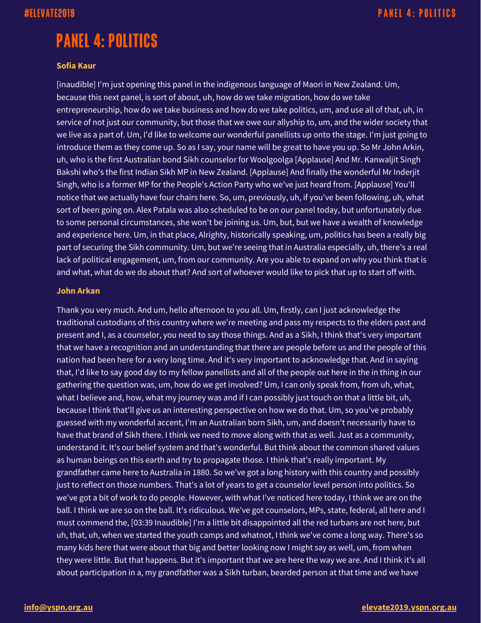# **PANEL 4: POLITICS**

### **Sofia Kaur**

[inaudible] I'm just opening this panel in the indigenous language of Maori in New Zealand. Um, because this next panel, is sort of about, uh, how do we take migration, how do we take entrepreneurship, how do we take business and how do we take politics, um, and use all of that, uh, in service of not just our community, but those that we owe our allyship to, um, and the wider society that we live as a part of. Um, I'd like to welcome our wonderful panellists up onto the stage. I'm just going to introduce them as they come up. So as I say, your name will be great to have you up. So Mr John Arkin, uh, who is the first Australian bond Sikh counselor for Woolgoolga [Applause] And Mr. Kanwaljit Singh Bakshi who's the first Indian Sikh MP in New Zealand. [Applause] And finally the wonderful Mr Inderjit Singh, who is a former MP for the People's Action Party who we've just heard from. [Applause] You'll notice that we actually have four chairs here. So, um, previously, uh, if you've been following, uh, what sort of been going on. Alex Patala was also scheduled to be on our panel today, but unfortunately due to some personal circumstances, she won't be joining us. Um, but, but we have a wealth of knowledge and experience here. Um, in that place, Alrighty, historically speaking, um, politics has been a really big part of securing the Sikh community. Um, but we're seeing that in Australia especially, uh, there's a real lack of political engagement, um, from our community. Are you able to expand on why you think that is and what, what do we do about that? And sort of whoever would like to pick that up to start off with.

### **John Arkan**

Thank you very much. And um, hello afternoon to you all. Um, firstly, can I just acknowledge the traditional custodians of this country where we're meeting and pass my respects to the elders past and present and I, as a counselor, you need to say those things. And as a Sikh, I think that's very important that we have a recognition and an understanding that there are people before us and the people of this nation had been here for a very long time. And it's very important to acknowledge that. And in saying that, I'd like to say good day to my fellow panellists and all of the people out here in the in thing in our gathering the question was, um, how do we get involved? Um, I can only speak from, from uh, what, what I believe and, how, what my journey was and if I can possibly just touch on that a little bit, uh, because I think that'll give us an interesting perspective on how we do that. Um, so you've probably guessed with my wonderful accent, I'm an Australian born Sikh, um, and doesn't necessarily have to have that brand of Sikh there. I think we need to move along with that as well. Just as a community, understand it. It's our belief system and that's wonderful. But think about the common shared values as human beings on this earth and try to propagate those. I think that's really important. My grandfather came here to Australia in 1880. So we've got a long history with this country and possibly just to reflect on those numbers. That's a lot of years to get a counselor level person into politics. So we've got a bit of work to do people. However, with what I've noticed here today, I think we are on the ball. I think we are so on the ball. It's ridiculous. We've got counselors, MPs, state, federal, all here and I must commend the, [03:39 Inaudible] I'm a little bit disappointed all the red turbans are not here, but uh, that, uh, when we started the youth camps and whatnot, I think we've come a long way. There's so many kids here that were about that big and better looking now I might say as well, um, from when they were little. But that happens. But it's important that we are here the way we are. And I think it's all about participation in a, my grandfather was a Sikh turban, bearded person at that time and we have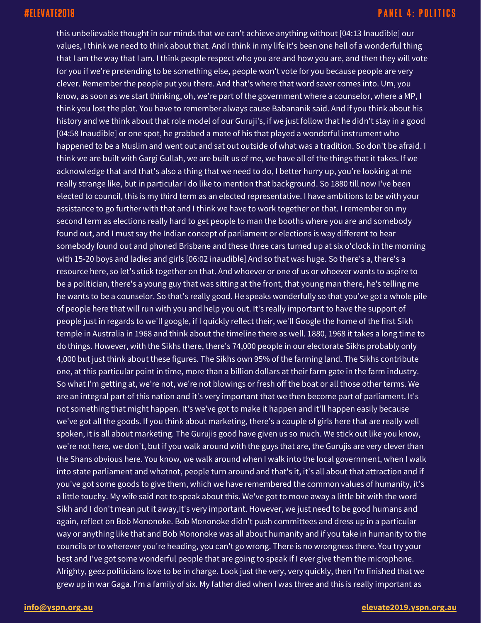this unbelievable thought in our minds that we can't achieve anything without [04:13 Inaudible] our values, I think we need to think about that. And I think in my life it's been one hell of a wonderful thing that I am the way that I am. I think people respect who you are and how you are, and then they will vote for you if we're pretending to be something else, people won't vote for you because people are very clever. Remember the people put you there. And that's where that word saver comes into. Um, you know, as soon as we start thinking, oh, we're part of the government where a counselor, where a MP, I think you lost the plot. You have to remember always cause Babananik said. And if you think about his history and we think about that role model of our Guruji's, if we just follow that he didn't stay in a good [04:58 Inaudible] or one spot, he grabbed a mate of his that played a wonderful instrument who happened to be a Muslim and went out and sat out outside of what was a tradition. So don't be afraid. I think we are built with Gargi Gullah, we are built us of me, we have all of the things that it takes. If we acknowledge that and that's also a thing that we need to do, I better hurry up, you're looking at me really strange like, but in particular I do like to mention that background. So 1880 till now I've been elected to council, this is my third term as an elected representative. I have ambitions to be with your assistance to go further with that and I think we have to work together on that. I remember on my second term as elections really hard to get people to man the booths where you are and somebody found out, and I must say the Indian concept of parliament or elections is way different to hear somebody found out and phoned Brisbane and these three cars turned up at six o'clock in the morning with 15-20 boys and ladies and girls [06:02 inaudible] And so that was huge. So there's a, there's a resource here, so let's stick together on that. And whoever or one of us or whoever wants to aspire to be a politician, there's a young guy that was sitting at the front, that young man there, he's telling me he wants to be a counselor. So that's really good. He speaks wonderfully so that you've got a whole pile of people here that will run with you and help you out. It's really important to have the support of people just in regards to we'll google, if I quickly reflect their, we'll Google the home of the first Sikh temple in Australia in 1968 and think about the timeline there as well. 1880, 1968 it takes a long time to do things. However, with the Sikhs there, there's 74,000 people in our electorate Sikhs probably only 4,000 but just think about these figures. The Sikhs own 95% of the farming land. The Sikhs contribute one, at this particular point in time, more than a billion dollars at their farm gate in the farm industry. So what I'm getting at, we're not, we're not blowings or fresh off the boat or all those other terms. We are an integral part of this nation and it's very important that we then become part of parliament. It's not something that might happen. It's we've got to make it happen and it'll happen easily because we've got all the goods. If you think about marketing, there's a couple of girls here that are really well spoken, it is all about marketing. The Gurujis good have given us so much. We stick out like you know, we're not here, we don't, but if you walk around with the guys that are, the Gurujis are very clever than the Shans obvious here. You know, we walk around when I walk into the local government, when I walk into state parliament and whatnot, people turn around and that's it, it's all about that attraction and if you've got some goods to give them, which we have remembered the common values of humanity, it's a little touchy. My wife said not to speak about this. We've got to move away a little bit with the word Sikh and I don't mean put it away,It's very important. However, we just need to be good humans and again, reflect on Bob Mononoke. Bob Mononoke didn't push committees and dress up in a particular way or anything like that and Bob Mononoke was all about humanity and if you take in humanity to the councils or to wherever you're heading, you can't go wrong. There is no wrongness there. You try your best and I've got some wonderful people that are going to speak if I ever give them the microphone. Alrighty, geez politicians love to be in charge. Look just the very, very quickly, then I'm finished that we grew up in war Gaga. I'm a family of six. My father died when I was three and this is really important as

### **[info@yspn.org.au](mailto:info@yspn.org.au) [elevate2019.yspn.org.au](https://elevate2019.yspn.org.au/)**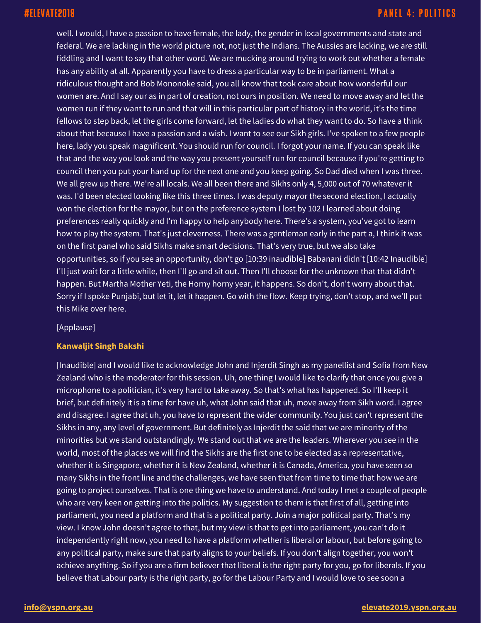well. I would, I have a passion to have female, the lady, the gender in local governments and state and federal. We are lacking in the world picture not, not just the Indians. The Aussies are lacking, we are still fiddling and I want to say that other word. We are mucking around trying to work out whether a female has any ability at all. Apparently you have to dress a particular way to be in parliament. What a ridiculous thought and Bob Mononoke said, you all know that took care about how wonderful our women are. And I say our as in part of creation, not ours in position. We need to move away and let the women run if they want to run and that will in this particular part of history in the world, it's the time fellows to step back, let the girls come forward, let the ladies do what they want to do. So have a think about that because I have a passion and a wish. I want to see our Sikh girls. I've spoken to a few people here, lady you speak magnificent. You should run for council. I forgot your name. If you can speak like that and the way you look and the way you present yourself run for council because if you're getting to council then you put your hand up for the next one and you keep going. So Dad died when I was three. We all grew up there. We're all locals. We all been there and Sikhs only 4, 5,000 out of 70 whatever it was. I'd been elected looking like this three times. I was deputy mayor the second election, I actually won the election for the mayor, but on the preference system I lost by 102 I learned about doing preferences really quickly and I'm happy to help anybody here. There's a system, you've got to learn how to play the system. That's just cleverness. There was a gentleman early in the part a, I think it was on the first panel who said Sikhs make smart decisions. That's very true, but we also take opportunities, so if you see an opportunity, don't go [10:39 inaudible] Babanani didn't [10:42 Inaudible] I'll just wait for a little while, then I'll go and sit out. Then I'll choose for the unknown that that didn't happen. But Martha Mother Yeti, the Horny horny year, it happens. So don't, don't worry about that. Sorry if I spoke Punjabi, but let it, let it happen. Go with the flow. Keep trying, don't stop, and we'll put this Mike over here.

[Applause]

### **Kanwaljit Singh Bakshi**

[Inaudible] and I would like to acknowledge John and Injerdit Singh as my panellist and Sofia from New Zealand who is the moderator for this session. Uh, one thing I would like to clarify that once you give a microphone to a politician, it's very hard to take away. So that's what has happened. So I'll keep it brief, but definitely it is a time for have uh, what John said that uh, move away from Sikh word. I agree and disagree. I agree that uh, you have to represent the wider community. You just can't represent the Sikhs in any, any level of government. But definitely as Injerdit the said that we are minority of the minorities but we stand outstandingly. We stand out that we are the leaders. Wherever you see in the world, most of the places we will find the Sikhs are the first one to be elected as a representative, whether it is Singapore, whether it is New Zealand, whether it is Canada, America, you have seen so many Sikhs in the front line and the challenges, we have seen that from time to time that how we are going to project ourselves. That is one thing we have to understand. And today I met a couple of people who are very keen on getting into the politics. My suggestion to them is that first of all, getting into parliament, you need a platform and that is a political party. Join a major political party. That's my view. I know John doesn't agree to that, but my view is that to get into parliament, you can't do it independently right now, you need to have a platform whether is liberal or labour, but before going to any political party, make sure that party aligns to your beliefs. If you don't align together, you won't achieve anything. So if you are a firm believer that liberal is the right party for you, go for liberals. If you believe that Labour party is the right party, go for the Labour Party and I would love to see soon a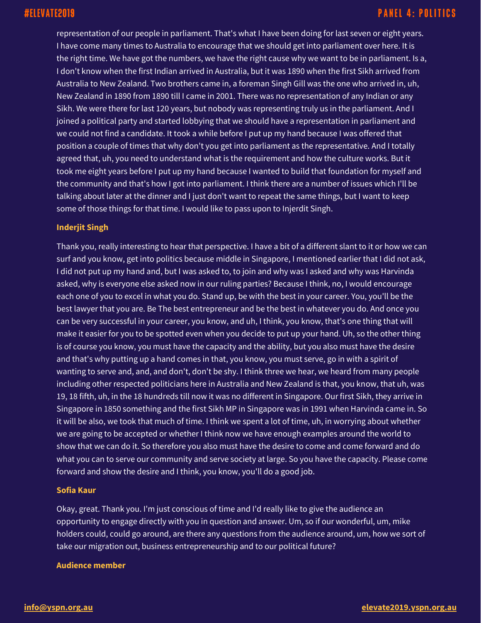representation of our people in parliament. That's what I have been doing for last seven or eight years. I have come many times to Australia to encourage that we should get into parliament over here. It is the right time. We have got the numbers, we have the right cause why we want to be in parliament. Is a, I don't know when the first Indian arrived in Australia, but it was 1890 when the first Sikh arrived from Australia to New Zealand. Two brothers came in, a foreman Singh Gill was the one who arrived in, uh, New Zealand in 1890 from 1890 till I came in 2001. There was no representation of any Indian or any Sikh. We were there for last 120 years, but nobody was representing truly us in the parliament. And I joined a political party and started lobbying that we should have a representation in parliament and we could not find a candidate. It took a while before I put up my hand because I was offered that position a couple of times that why don't you get into parliament as the representative. And I totally agreed that, uh, you need to understand what is the requirement and how the culture works. But it took me eight years before I put up my hand because I wanted to build that foundation for myself and the community and that's how I got into parliament. I think there are a number of issues which I'll be talking about later at the dinner and I just don't want to repeat the same things, but I want to keep some of those things for that time. I would like to pass upon to Injerdit Singh.

### **Inderjit Singh**

Thank you, really interesting to hear that perspective. I have a bit of a different slant to it or how we can surf and you know, get into politics because middle in Singapore, I mentioned earlier that I did not ask, I did not put up my hand and, but I was asked to, to join and why was I asked and why was Harvinda asked, why is everyone else asked now in our ruling parties? Because I think, no, I would encourage each one of you to excel in what you do. Stand up, be with the best in your career. You, you'll be the best lawyer that you are. Be The best entrepreneur and be the best in whatever you do. And once you can be very successful in your career, you know, and uh, I think, you know, that's one thing that will make it easier for you to be spotted even when you decide to put up your hand. Uh, so the other thing is of course you know, you must have the capacity and the ability, but you also must have the desire and that's why putting up a hand comes in that, you know, you must serve, go in with a spirit of wanting to serve and, and, and don't, don't be shy. I think three we hear, we heard from many people including other respected politicians here in Australia and New Zealand is that, you know, that uh, was 19, 18 fifth, uh, in the 18 hundreds till now it was no different in Singapore. Our first Sikh, they arrive in Singapore in 1850 something and the first Sikh MP in Singapore was in 1991 when Harvinda came in. So it will be also, we took that much of time. I think we spent a lot of time, uh, in worrying about whether we are going to be accepted or whether I think now we have enough examples around the world to show that we can do it. So therefore you also must have the desire to come and come forward and do what you can to serve our community and serve society at large. So you have the capacity. Please come forward and show the desire and I think, you know, you'll do a good job.

### **Sofia Kaur**

Okay, great. Thank you. I'm just conscious of time and I'd really like to give the audience an opportunity to engage directly with you in question and answer. Um, so if our wonderful, um, mike holders could, could go around, are there any questions from the audience around, um, how we sort of take our migration out, business entrepreneurship and to our political future?

### **Audience member**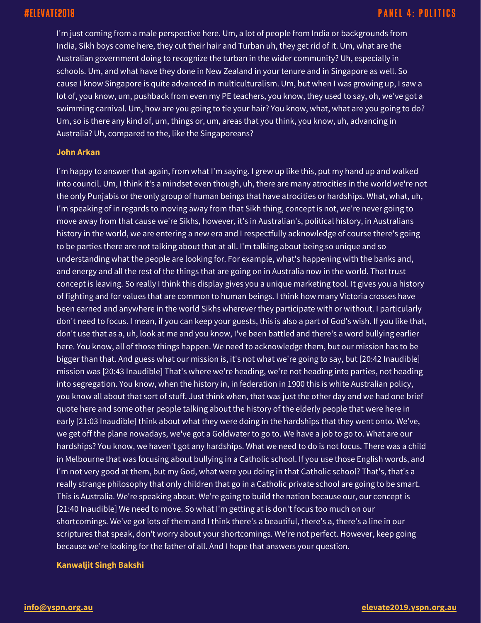I'm just coming from a male perspective here. Um, a lot of people from India or backgrounds from India, Sikh boys come here, they cut their hair and Turban uh, they get rid of it. Um, what are the Australian government doing to recognize the turban in the wider community? Uh, especially in schools. Um, and what have they done in New Zealand in your tenure and in Singapore as well. So cause I know Singapore is quite advanced in multiculturalism. Um, but when I was growing up, I saw a lot of, you know, um, pushback from even my PE teachers, you know, they used to say, oh, we've got a swimming carnival. Um, how are you going to tie your hair? You know, what, what are you going to do? Um, so is there any kind of, um, things or, um, areas that you think, you know, uh, advancing in Australia? Uh, compared to the, like the Singaporeans?

### **John Arkan**

I'm happy to answer that again, from what I'm saying. I grew up like this, put my hand up and walked into council. Um, I think it's a mindset even though, uh, there are many atrocities in the world we're not the only Punjabis or the only group of human beings that have atrocities or hardships. What, what, uh, I'm speaking of in regards to moving away from that Sikh thing, concept is not, we're never going to move away from that cause we're Sikhs, however, it's in Australian's, political history, in Australians history in the world, we are entering a new era and I respectfully acknowledge of course there's going to be parties there are not talking about that at all. I'm talking about being so unique and so understanding what the people are looking for. For example, what's happening with the banks and, and energy and all the rest of the things that are going on in Australia now in the world. That trust concept is leaving. So really I think this display gives you a unique marketing tool. It gives you a history of fighting and for values that are common to human beings. I think how many Victoria crosses have been earned and anywhere in the world Sikhs wherever they participate with or without. I particularly don't need to focus. I mean, if you can keep your guests, this is also a part of God's wish. If you like that, don't use that as a, uh, look at me and you know, I've been battled and there's a word bullying earlier here. You know, all of those things happen. We need to acknowledge them, but our mission has to be bigger than that. And guess what our mission is, it's not what we're going to say, but [20:42 Inaudible] mission was [20:43 Inaudible] That's where we're heading, we're not heading into parties, not heading into segregation. You know, when the history in, in federation in 1900 this is white Australian policy, you know all about that sort of stuff. Just think when, that was just the other day and we had one brief quote here and some other people talking about the history of the elderly people that were here in early [21:03 Inaudible] think about what they were doing in the hardships that they went onto. We've, we get off the plane nowadays, we've got a Goldwater to go to. We have a job to go to. What are our hardships? You know, we haven't got any hardships. What we need to do is not focus. There was a child in Melbourne that was focusing about bullying in a Catholic school. If you use those English words, and I'm not very good at them, but my God, what were you doing in that Catholic school? That's, that's a really strange philosophy that only children that go in a Catholic private school are going to be smart. This is Australia. We're speaking about. We're going to build the nation because our, our concept is [21:40 Inaudible] We need to move. So what I'm getting at is don't focus too much on our shortcomings. We've got lots of them and I think there's a beautiful, there's a, there's a line in our scriptures that speak, don't worry about your shortcomings. We're not perfect. However, keep going because we're looking for the father of all. And I hope that answers your question.

### **Kanwaljit Singh Bakshi**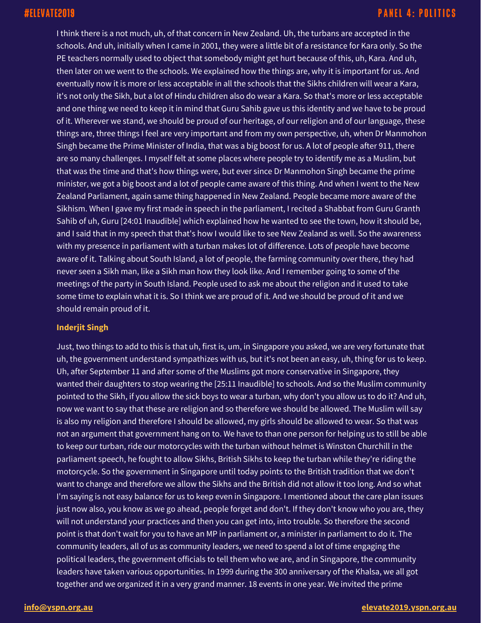I think there is a not much, uh, of that concern in New Zealand. Uh, the turbans are accepted in the schools. And uh, initially when I came in 2001, they were a little bit of a resistance for Kara only. So the PE teachers normally used to object that somebody might get hurt because of this, uh, Kara. And uh, then later on we went to the schools. We explained how the things are, why it is important for us. And eventually now it is more or less acceptable in all the schools that the Sikhs children will wear a Kara, it's not only the Sikh, but a lot of Hindu children also do wear a Kara. So that's more or less acceptable and one thing we need to keep it in mind that Guru Sahib gave us this identity and we have to be proud of it. Wherever we stand, we should be proud of our heritage, of our religion and of our language, these things are, three things I feel are very important and from my own perspective, uh, when Dr Manmohon Singh became the Prime Minister of India, that was a big boost for us. A lot of people after 911, there are so many challenges. I myself felt at some places where people try to identify me as a Muslim, but that was the time and that's how things were, but ever since Dr Manmohon Singh became the prime minister, we got a big boost and a lot of people came aware of this thing. And when I went to the New Zealand Parliament, again same thing happened in New Zealand. People became more aware of the Sikhism. When I gave my first made in speech in the parliament, I recited a Shabbat from Guru Granth Sahib of uh, Guru [24:01 Inaudible] which explained how he wanted to see the town, how it should be, and I said that in my speech that that's how I would like to see New Zealand as well. So the awareness with my presence in parliament with a turban makes lot of difference. Lots of people have become aware of it. Talking about South Island, a lot of people, the farming community over there, they had never seen a Sikh man, like a Sikh man how they look like. And I remember going to some of the meetings of the party in South Island. People used to ask me about the religion and it used to take some time to explain what it is. So I think we are proud of it. And we should be proud of it and we should remain proud of it.

### **Inderjit Singh**

Just, two things to add to this is that uh, first is, um, in Singapore you asked, we are very fortunate that uh, the government understand sympathizes with us, but it's not been an easy, uh, thing for us to keep. Uh, after September 11 and after some of the Muslims got more conservative in Singapore, they wanted their daughters to stop wearing the [25:11 Inaudible] to schools. And so the Muslim community pointed to the Sikh, if you allow the sick boys to wear a turban, why don't you allow us to do it? And uh, now we want to say that these are religion and so therefore we should be allowed. The Muslim will say is also my religion and therefore I should be allowed, my girls should be allowed to wear. So that was not an argument that government hang on to. We have to than one person for helping us to still be able to keep our turban, ride our motorcycles with the turban without helmet is Winston Churchill in the parliament speech, he fought to allow Sikhs, British Sikhs to keep the turban while they're riding the motorcycle. So the government in Singapore until today points to the British tradition that we don't want to change and therefore we allow the Sikhs and the British did not allow it too long. And so what I'm saying is not easy balance for us to keep even in Singapore. I mentioned about the care plan issues just now also, you know as we go ahead, people forget and don't. If they don't know who you are, they will not understand your practices and then you can get into, into trouble. So therefore the second point is that don't wait for you to have an MP in parliament or, a minister in parliament to do it. The community leaders, all of us as community leaders, we need to spend a lot of time engaging the political leaders, the government officials to tell them who we are, and in Singapore, the community leaders have taken various opportunities. In 1999 during the 300 anniversary of the Khalsa, we all got together and we organized it in a very grand manner. 18 events in one year. We invited the prime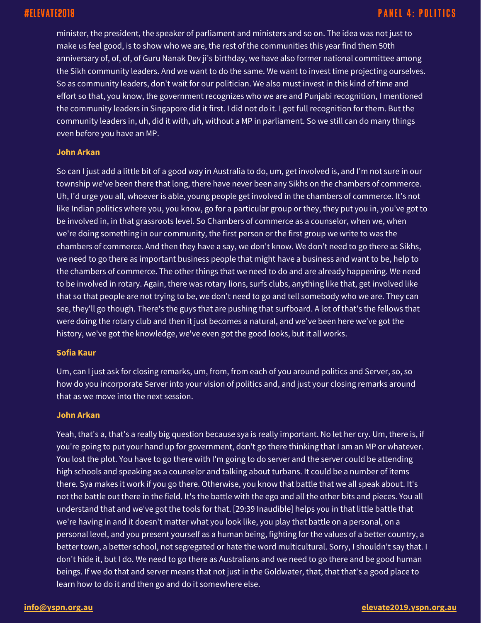minister, the president, the speaker of parliament and ministers and so on. The idea was not just to make us feel good, is to show who we are, the rest of the communities this year find them 50th anniversary of, of, of, of Guru Nanak Dev ji's birthday, we have also former national committee among the Sikh community leaders. And we want to do the same. We want to invest time projecting ourselves. So as community leaders, don't wait for our politician. We also must invest in this kind of time and effort so that, you know, the government recognizes who we are and Punjabi recognition, I mentioned the community leaders in Singapore did it first. I did not do it. I got full recognition for them. But the community leaders in, uh, did it with, uh, without a MP in parliament. So we still can do many things even before you have an MP.

### **John Arkan**

So can I just add a little bit of a good way in Australia to do, um, get involved is, and I'm not sure in our township we've been there that long, there have never been any Sikhs on the chambers of commerce. Uh, I'd urge you all, whoever is able, young people get involved in the chambers of commerce. It's not like Indian politics where you, you know, go for a particular group or they, they put you in, you've got to be involved in, in that grassroots level. So Chambers of commerce as a counselor, when we, when we're doing something in our community, the first person or the first group we write to was the chambers of commerce. And then they have a say, we don't know. We don't need to go there as Sikhs, we need to go there as important business people that might have a business and want to be, help to the chambers of commerce. The other things that we need to do and are already happening. We need to be involved in rotary. Again, there was rotary lions, surfs clubs, anything like that, get involved like that so that people are not trying to be, we don't need to go and tell somebody who we are. They can see, they'll go though. There's the guys that are pushing that surfboard. A lot of that's the fellows that were doing the rotary club and then it just becomes a natural, and we've been here we've got the history, we've got the knowledge, we've even got the good looks, but it all works.

### **Sofia Kaur**

Um, can I just ask for closing remarks, um, from, from each of you around politics and Server, so, so how do you incorporate Server into your vision of politics and, and just your closing remarks around that as we move into the next session.

### **John Arkan**

Yeah, that's a, that's a really big question because sya is really important. No let her cry. Um, there is, if you're going to put your hand up for government, don't go there thinking that I am an MP or whatever. You lost the plot. You have to go there with I'm going to do server and the server could be attending high schools and speaking as a counselor and talking about turbans. It could be a number of items there. Sya makes it work if you go there. Otherwise, you know that battle that we all speak about. It's not the battle out there in the field. It's the battle with the ego and all the other bits and pieces. You all understand that and we've got the tools for that. [29:39 Inaudible] helps you in that little battle that we're having in and it doesn't matter what you look like, you play that battle on a personal, on a personal level, and you present yourself as a human being, fighting for the values of a better country, a better town, a better school, not segregated or hate the word multicultural. Sorry, I shouldn't say that. I don't hide it, but I do. We need to go there as Australians and we need to go there and be good human beings. If we do that and server means that not just in the Goldwater, that, that that's a good place to learn how to do it and then go and do it somewhere else.

### **[info@yspn.org.au](mailto:info@yspn.org.au) [elevate2019.yspn.org.au](https://elevate2019.yspn.org.au/)**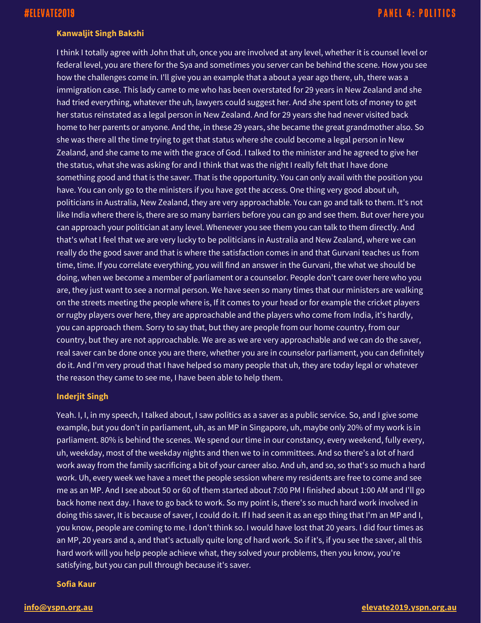### **Kanwaljit Singh Bakshi**

I think I totally agree with John that uh, once you are involved at any level, whether it is counsel level or federal level, you are there for the Sya and sometimes you server can be behind the scene. How you see how the challenges come in. I'll give you an example that a about a year ago there, uh, there was a immigration case. This lady came to me who has been overstated for 29 years in New Zealand and she had tried everything, whatever the uh, lawyers could suggest her. And she spent lots of money to get her status reinstated as a legal person in New Zealand. And for 29 years she had never visited back home to her parents or anyone. And the, in these 29 years, she became the great grandmother also. So she was there all the time trying to get that status where she could become a legal person in New Zealand, and she came to me with the grace of God. I talked to the minister and he agreed to give her the status, what she was asking for and I think that was the night I really felt that I have done something good and that is the saver. That is the opportunity. You can only avail with the position you have. You can only go to the ministers if you have got the access. One thing very good about uh, politicians in Australia, New Zealand, they are very approachable. You can go and talk to them. It's not like India where there is, there are so many barriers before you can go and see them. But over here you can approach your politician at any level. Whenever you see them you can talk to them directly. And that's what I feel that we are very lucky to be politicians in Australia and New Zealand, where we can really do the good saver and that is where the satisfaction comes in and that Gurvani teaches us from time, time. If you correlate everything, you will find an answer in the Gurvani, the what we should be doing, when we become a member of parliament or a counselor. People don't care over here who you are, they just want to see a normal person. We have seen so many times that our ministers are walking on the streets meeting the people where is, If it comes to your head or for example the cricket players or rugby players over here, they are approachable and the players who come from India, it's hardly, you can approach them. Sorry to say that, but they are people from our home country, from our country, but they are not approachable. We are as we are very approachable and we can do the saver, real saver can be done once you are there, whether you are in counselor parliament, you can definitely do it. And I'm very proud that I have helped so many people that uh, they are today legal or whatever the reason they came to see me, I have been able to help them.

### **Inderjit Singh**

Yeah. I, I, in my speech, I talked about, I saw politics as a saver as a public service. So, and I give some example, but you don't in parliament, uh, as an MP in Singapore, uh, maybe only 20% of my work is in parliament. 80% is behind the scenes. We spend our time in our constancy, every weekend, fully every, uh, weekday, most of the weekday nights and then we to in committees. And so there's a lot of hard work away from the family sacrificing a bit of your career also. And uh, and so, so that's so much a hard work. Uh, every week we have a meet the people session where my residents are free to come and see me as an MP. And I see about 50 or 60 of them started about 7:00 PM I finished about 1:00 AM and I'll go back home next day. I have to go back to work. So my point is, there's so much hard work involved in doing this saver, It is because of saver, I could do it. If I had seen it as an ego thing that I'm an MP and I, you know, people are coming to me. I don't think so. I would have lost that 20 years. I did four times as an MP, 20 years and a, and that's actually quite long of hard work. So if it's, if you see the saver, all this hard work will you help people achieve what, they solved your problems, then you know, you're satisfying, but you can pull through because it's saver.

### **Sofia Kaur**